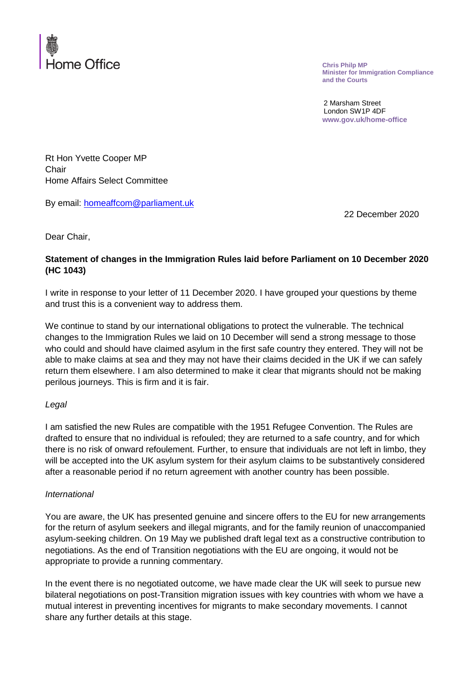

**Chris Philp MP Minister for Immigration Compliance and the Courts**

2 Marsham Street London SW1P 4DF **www.gov.uk/home-office**

Rt Hon Yvette Cooper MP **Chair** Home Affairs Select Committee

By email: [homeaffcom@parliament.uk](mailto:homeaffcom@parliament.uk)

22 December 2020

Dear Chair,

## **Statement of changes in the Immigration Rules laid before Parliament on 10 December 2020 (HC 1043)**

I write in response to your letter of 11 December 2020. I have grouped your questions by theme and trust this is a convenient way to address them.

We continue to stand by our international obligations to protect the vulnerable. The technical changes to the Immigration Rules we laid on 10 December will send a strong message to those who could and should have claimed asylum in the first safe country they entered. They will not be able to make claims at sea and they may not have their claims decided in the UK if we can safely return them elsewhere. I am also determined to make it clear that migrants should not be making perilous journeys. This is firm and it is fair.

## *Legal*

I am satisfied the new Rules are compatible with the 1951 Refugee Convention. The Rules are drafted to ensure that no individual is refouled; they are returned to a safe country, and for which there is no risk of onward refoulement. Further, to ensure that individuals are not left in limbo, they will be accepted into the UK asylum system for their asylum claims to be substantively considered after a reasonable period if no return agreement with another country has been possible.

## *International*

You are aware, the UK has presented genuine and sincere offers to the EU for new arrangements for the return of asylum seekers and illegal migrants, and for the family reunion of unaccompanied asylum-seeking children. On 19 May we published draft legal text as a constructive contribution to negotiations. As the end of Transition negotiations with the EU are ongoing, it would not be appropriate to provide a running commentary.

In the event there is no negotiated outcome, we have made clear the UK will seek to pursue new bilateral negotiations on post-Transition migration issues with key countries with whom we have a mutual interest in preventing incentives for migrants to make secondary movements. I cannot share any further details at this stage.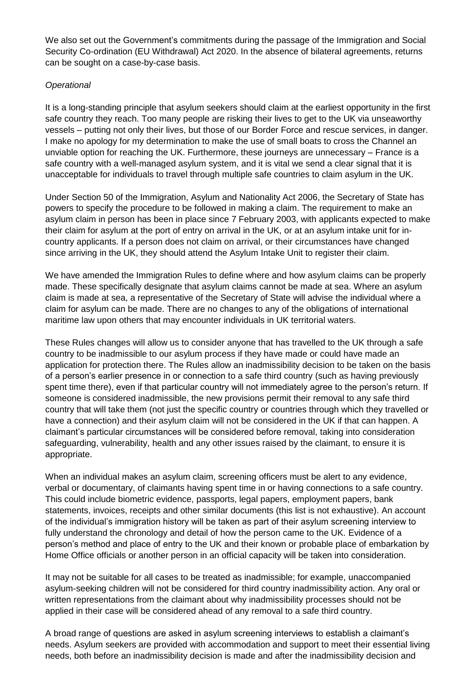We also set out the Government's commitments during the passage of the Immigration and Social Security Co-ordination (EU Withdrawal) Act 2020. In the absence of bilateral agreements, returns can be sought on a case-by-case basis.

## *Operational*

It is a long-standing principle that asylum seekers should claim at the earliest opportunity in the first safe country they reach. Too many people are risking their lives to get to the UK via unseaworthy vessels – putting not only their lives, but those of our Border Force and rescue services, in danger. I make no apology for my determination to make the use of small boats to cross the Channel an unviable option for reaching the UK. Furthermore, these journeys are unnecessary – France is a safe country with a well-managed asylum system, and it is vital we send a clear signal that it is unacceptable for individuals to travel through multiple safe countries to claim asylum in the UK.

Under Section 50 of the Immigration, Asylum and Nationality Act 2006, the Secretary of State has powers to specify the procedure to be followed in making a claim. The requirement to make an asylum claim in person has been in place since 7 February 2003, with applicants expected to make their claim for asylum at the port of entry on arrival in the UK, or at an asylum intake unit for incountry applicants. If a person does not claim on arrival, or their circumstances have changed since arriving in the UK, they should attend the Asylum Intake Unit to register their claim.

We have amended the Immigration Rules to define where and how asylum claims can be properly made. These specifically designate that asylum claims cannot be made at sea. Where an asylum claim is made at sea, a representative of the Secretary of State will advise the individual where a claim for asylum can be made. There are no changes to any of the obligations of international maritime law upon others that may encounter individuals in UK territorial waters.

These Rules changes will allow us to consider anyone that has travelled to the UK through a safe country to be inadmissible to our asylum process if they have made or could have made an application for protection there. The Rules allow an inadmissibility decision to be taken on the basis of a person's earlier presence in or connection to a safe third country (such as having previously spent time there), even if that particular country will not immediately agree to the person's return. If someone is considered inadmissible, the new provisions permit their removal to any safe third country that will take them (not just the specific country or countries through which they travelled or have a connection) and their asylum claim will not be considered in the UK if that can happen. A claimant's particular circumstances will be considered before removal, taking into consideration safeguarding, vulnerability, health and any other issues raised by the claimant, to ensure it is appropriate.

When an individual makes an asylum claim, screening officers must be alert to any evidence, verbal or documentary, of claimants having spent time in or having connections to a safe country. This could include biometric evidence, passports, legal papers, employment papers, bank statements, invoices, receipts and other similar documents (this list is not exhaustive). An account of the individual's immigration history will be taken as part of their asylum screening interview to fully understand the chronology and detail of how the person came to the UK. Evidence of a person's method and place of entry to the UK and their known or probable place of embarkation by Home Office officials or another person in an official capacity will be taken into consideration.

It may not be suitable for all cases to be treated as inadmissible; for example, unaccompanied asylum-seeking children will not be considered for third country inadmissibility action. Any oral or written representations from the claimant about why inadmissibility processes should not be applied in their case will be considered ahead of any removal to a safe third country.

A broad range of questions are asked in asylum screening interviews to establish a claimant's needs. Asylum seekers are provided with accommodation and support to meet their essential living needs, both before an inadmissibility decision is made and after the inadmissibility decision and